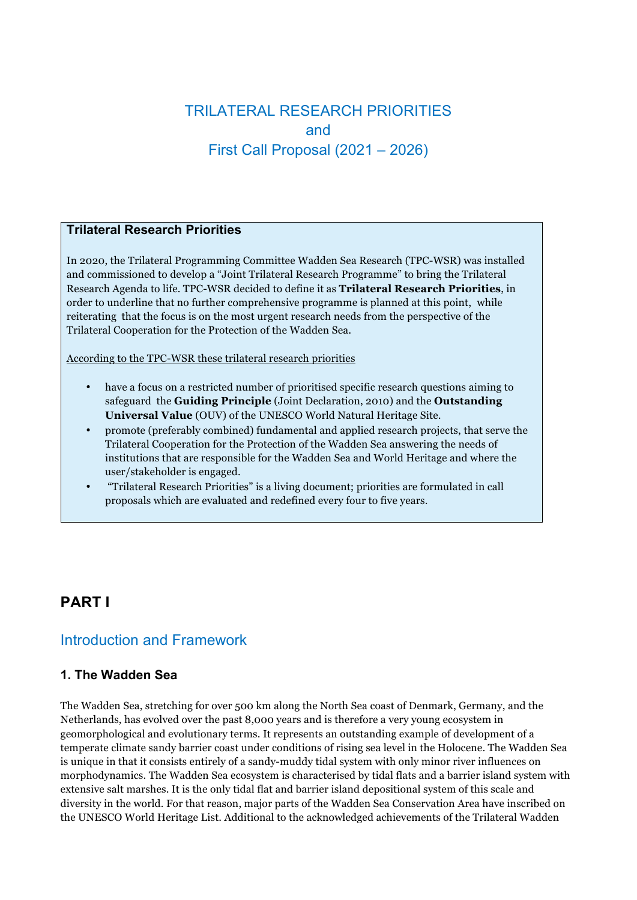# TRILATERAL RESEARCH PRIORITIES and First Call Proposal (2021 – 2026)

#### **Trilateral Research Priorities**

In 2020, the Trilateral Programming Committee Wadden Sea Research (TPC-WSR) was installed and commissioned to develop a "Joint Trilateral Research Programme" to bring the Trilateral Research Agenda to life. TPC-WSR decided to define it as **Trilateral Research Priorities**, in order to underline that no further comprehensive programme is planned at this point, while reiterating that the focus is on the most urgent research needs from the perspective of the Trilateral Cooperation for the Protection of the Wadden Sea.

According to the TPC-WSR these trilateral research priorities

- have a focus on a restricted number of prioritised specific research questions aiming to safeguard the **Guiding Principle** (Joint Declaration, 2010) and the **Outstanding Universal Value** (OUV) of the UNESCO World Natural Heritage Site.
- promote (preferably combined) fundamental and applied research projects, that serve the Trilateral Cooperation for the Protection of the Wadden Sea answering the needs of institutions that are responsible for the Wadden Sea and World Heritage and where the user/stakeholder is engaged.
- "Trilateral Research Priorities" is a living document; priorities are formulated in call proposals which are evaluated and redefined every four to five years.

# **PART I**

## Introduction and Framework

### **1. The Wadden Sea**

The Wadden Sea, stretching for over 500 km along the North Sea coast of Denmark, Germany, and the Netherlands, has evolved over the past 8,000 years and is therefore a very young ecosystem in geomorphological and evolutionary terms. It represents an outstanding example of development of a temperate climate sandy barrier coast under conditions of rising sea level in the Holocene. The Wadden Sea is unique in that it consists entirely of a sandy-muddy tidal system with only minor river influences on morphodynamics. The Wadden Sea ecosystem is characterised by tidal flats and a barrier island system with extensive salt marshes. It is the only tidal flat and barrier island depositional system of this scale and diversity in the world. For that reason, major parts of the Wadden Sea Conservation Area have inscribed on the UNESCO World Heritage List. Additional to the acknowledged achievements of the Trilateral Wadden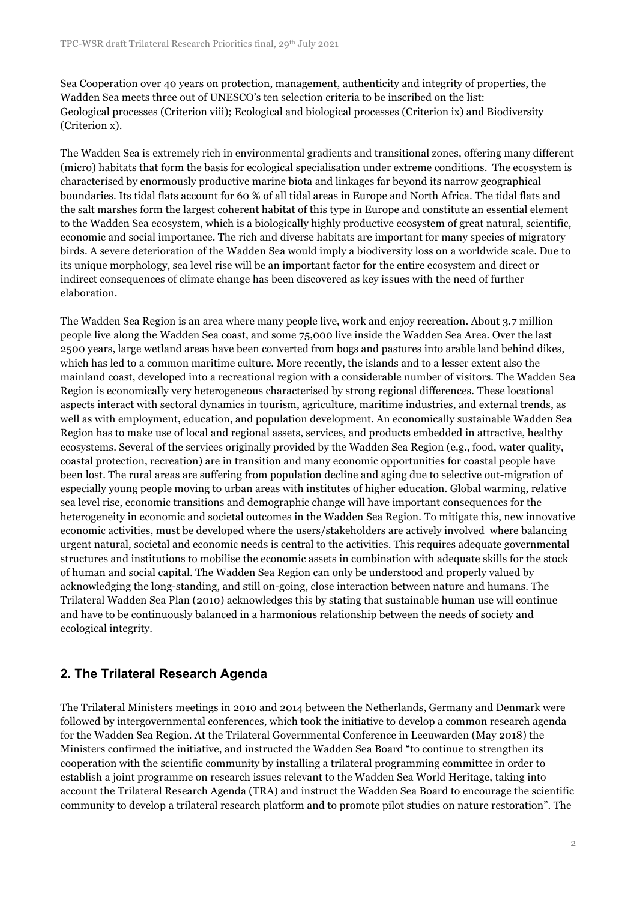Sea Cooperation over 40 years on protection, management, authenticity and integrity of properties, the Wadden Sea meets three out of UNESCO's ten selection criteria to be inscribed on the list: Geological processes (Criterion viii); Ecological and biological processes (Criterion ix) and Biodiversity (Criterion x).

The Wadden Sea is extremely rich in environmental gradients and transitional zones, offering many different (micro) habitats that form the basis for ecological specialisation under extreme conditions. The ecosystem is characterised by enormously productive marine biota and linkages far beyond its narrow geographical boundaries. Its tidal flats account for 60 % of all tidal areas in Europe and North Africa. The tidal flats and the salt marshes form the largest coherent habitat of this type in Europe and constitute an essential element to the Wadden Sea ecosystem, which is a biologically highly productive ecosystem of great natural, scientific, economic and social importance. The rich and diverse habitats are important for many species of migratory birds. A severe deterioration of the Wadden Sea would imply a biodiversity loss on a worldwide scale. Due to its unique morphology, sea level rise will be an important factor for the entire ecosystem and direct or indirect consequences of climate change has been discovered as key issues with the need of further elaboration.

The Wadden Sea Region is an area where many people live, work and enjoy recreation. About 3.7 million people live along the Wadden Sea coast, and some 75,000 live inside the Wadden Sea Area. Over the last 2500 years, large wetland areas have been converted from bogs and pastures into arable land behind dikes, which has led to a common maritime culture. More recently, the islands and to a lesser extent also the mainland coast, developed into a recreational region with a considerable number of visitors. The Wadden Sea Region is economically very heterogeneous characterised by strong regional differences. These locational aspects interact with sectoral dynamics in tourism, agriculture, maritime industries, and external trends, as well as with employment, education, and population development. An economically sustainable Wadden Sea Region has to make use of local and regional assets, services, and products embedded in attractive, healthy ecosystems. Several of the services originally provided by the Wadden Sea Region (e.g., food, water quality, coastal protection, recreation) are in transition and many economic opportunities for coastal people have been lost. The rural areas are suffering from population decline and aging due to selective out-migration of especially young people moving to urban areas with institutes of higher education. Global warming, relative sea level rise, economic transitions and demographic change will have important consequences for the heterogeneity in economic and societal outcomes in the Wadden Sea Region. To mitigate this, new innovative economic activities, must be developed where the users/stakeholders are actively involved where balancing urgent natural, societal and economic needs is central to the activities. This requires adequate governmental structures and institutions to mobilise the economic assets in combination with adequate skills for the stock of human and social capital. The Wadden Sea Region can only be understood and properly valued by acknowledging the long-standing, and still on-going, close interaction between nature and humans. The Trilateral Wadden Sea Plan (2010) acknowledges this by stating that sustainable human use will continue and have to be continuously balanced in a harmonious relationship between the needs of society and ecological integrity.

### **2. The Trilateral Research Agenda**

The Trilateral Ministers meetings in 2010 and 2014 between the Netherlands, Germany and Denmark were followed by intergovernmental conferences, which took the initiative to develop a common research agenda for the Wadden Sea Region. At the Trilateral Governmental Conference in Leeuwarden (May 2018) the Ministers confirmed the initiative, and instructed the Wadden Sea Board "to continue to strengthen its cooperation with the scientific community by installing a trilateral programming committee in order to establish a joint programme on research issues relevant to the Wadden Sea World Heritage, taking into account the Trilateral Research Agenda (TRA) and instruct the Wadden Sea Board to encourage the scientific community to develop a trilateral research platform and to promote pilot studies on nature restoration". The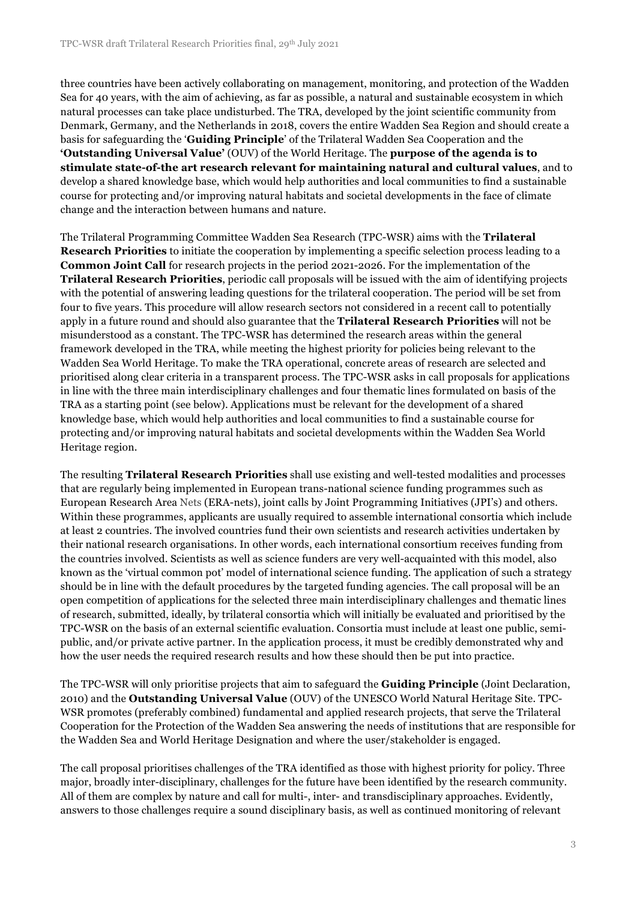three countries have been actively collaborating on management, monitoring, and protection of the Wadden Sea for 40 years, with the aim of achieving, as far as possible, a natural and sustainable ecosystem in which natural processes can take place undisturbed. The TRA, developed by the joint scientific community from Denmark, Germany, and the Netherlands in 2018, covers the entire Wadden Sea Region and should create a basis for safeguarding the '**Guiding Principle**' of the Trilateral Wadden Sea Cooperation and the **'Outstanding Universal Value'** (OUV) of the World Heritage. The **purpose of the agenda is to stimulate state-of-the art research relevant for maintaining natural and cultural values**, and to develop a shared knowledge base, which would help authorities and local communities to find a sustainable course for protecting and/or improving natural habitats and societal developments in the face of climate change and the interaction between humans and nature.

The Trilateral Programming Committee Wadden Sea Research (TPC-WSR) aims with the **Trilateral Research Priorities** to initiate the cooperation by implementing a specific selection process leading to a **Common Joint Call** for research projects in the period 2021-2026. For the implementation of the **Trilateral Research Priorities**, periodic call proposals will be issued with the aim of identifying projects with the potential of answering leading questions for the trilateral cooperation. The period will be set from four to five years. This procedure will allow research sectors not considered in a recent call to potentially apply in a future round and should also guarantee that the **Trilateral Research Priorities** will not be misunderstood as a constant. The TPC-WSR has determined the research areas within the general framework developed in the TRA, while meeting the highest priority for policies being relevant to the Wadden Sea World Heritage. To make the TRA operational, concrete areas of research are selected and prioritised along clear criteria in a transparent process. The TPC-WSR asks in call proposals for applications in line with the three main interdisciplinary challenges and four thematic lines formulated on basis of the TRA as a starting point (see below). Applications must be relevant for the development of a shared knowledge base, which would help authorities and local communities to find a sustainable course for protecting and/or improving natural habitats and societal developments within the Wadden Sea World Heritage region.

The resulting **Trilateral Research Priorities** shall use existing and well-tested modalities and processes that are regularly being implemented in European trans-national science funding programmes such as European Research Area Nets (ERA-nets), joint calls by Joint Programming Initiatives (JPI's) and others. Within these programmes, applicants are usually required to assemble international consortia which include at least 2 countries. The involved countries fund their own scientists and research activities undertaken by their national research organisations. In other words, each international consortium receives funding from the countries involved. Scientists as well as science funders are very well-acquainted with this model, also known as the 'virtual common pot' model of international science funding. The application of such a strategy should be in line with the default procedures by the targeted funding agencies. The call proposal will be an open competition of applications for the selected three main interdisciplinary challenges and thematic lines of research, submitted, ideally, by trilateral consortia which will initially be evaluated and prioritised by the TPC-WSR on the basis of an external scientific evaluation. Consortia must include at least one public, semipublic, and/or private active partner. In the application process, it must be credibly demonstrated why and how the user needs the required research results and how these should then be put into practice.

The TPC-WSR will only prioritise projects that aim to safeguard the **Guiding Principle** (Joint Declaration, 2010) and the **Outstanding Universal Value** (OUV) of the UNESCO World Natural Heritage Site. TPC-WSR promotes (preferably combined) fundamental and applied research projects, that serve the Trilateral Cooperation for the Protection of the Wadden Sea answering the needs of institutions that are responsible for the Wadden Sea and World Heritage Designation and where the user/stakeholder is engaged.

The call proposal prioritises challenges of the TRA identified as those with highest priority for policy. Three major, broadly inter-disciplinary, challenges for the future have been identified by the research community. All of them are complex by nature and call for multi-, inter- and transdisciplinary approaches. Evidently, answers to those challenges require a sound disciplinary basis, as well as continued monitoring of relevant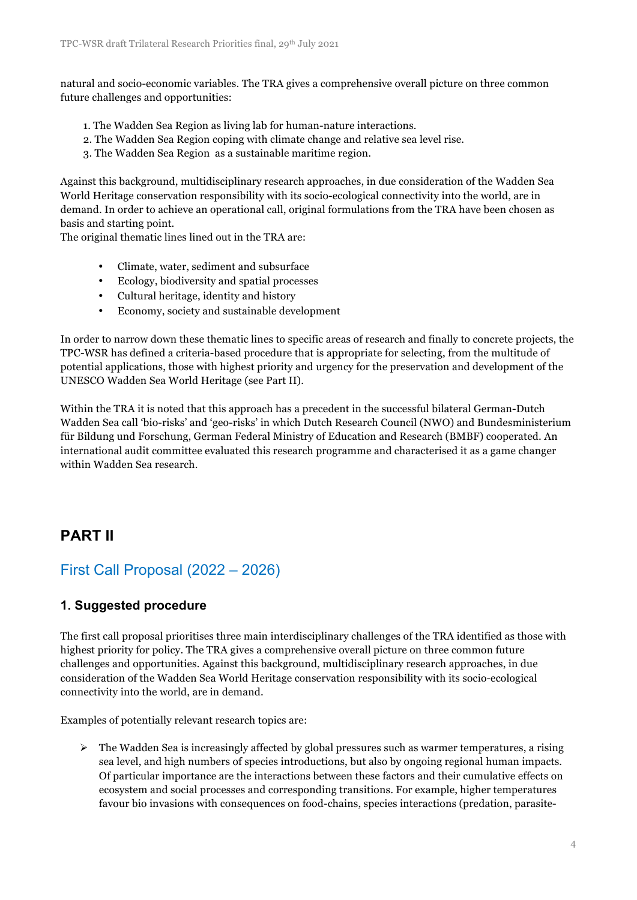natural and socio-economic variables. The TRA gives a comprehensive overall picture on three common future challenges and opportunities:

- 1. The Wadden Sea Region as living lab for human-nature interactions.
- 2. The Wadden Sea Region coping with climate change and relative sea level rise.
- 3. The Wadden Sea Region as a sustainable maritime region.

Against this background, multidisciplinary research approaches, in due consideration of the Wadden Sea World Heritage conservation responsibility with its socio-ecological connectivity into the world, are in demand. In order to achieve an operational call, original formulations from the TRA have been chosen as basis and starting point.

The original thematic lines lined out in the TRA are:

- Climate, water, sediment and subsurface
- Ecology, biodiversity and spatial processes
- Cultural heritage, identity and history
- Economy, society and sustainable development

In order to narrow down these thematic lines to specific areas of research and finally to concrete projects, the TPC-WSR has defined a criteria-based procedure that is appropriate for selecting, from the multitude of potential applications, those with highest priority and urgency for the preservation and development of the UNESCO Wadden Sea World Heritage (see Part II).

Within the TRA it is noted that this approach has a precedent in the successful bilateral German-Dutch Wadden Sea call 'bio-risks' and 'geo-risks' in which Dutch Research Council (NWO) and Bundesministerium für Bildung und Forschung, German Federal Ministry of Education and Research (BMBF) cooperated. An international audit committee evaluated this research programme and characterised it as a game changer within Wadden Sea research.

## **PART II**

## First Call Proposal (2022 – 2026)

#### **1. Suggested procedure**

The first call proposal prioritises three main interdisciplinary challenges of the TRA identified as those with highest priority for policy. The TRA gives a comprehensive overall picture on three common future challenges and opportunities. Against this background, multidisciplinary research approaches, in due consideration of the Wadden Sea World Heritage conservation responsibility with its socio-ecological connectivity into the world, are in demand.

Examples of potentially relevant research topics are:

 $\triangleright$  The Wadden Sea is increasingly affected by global pressures such as warmer temperatures, a rising sea level, and high numbers of species introductions, but also by ongoing regional human impacts. Of particular importance are the interactions between these factors and their cumulative effects on ecosystem and social processes and corresponding transitions. For example, higher temperatures favour bio invasions with consequences on food-chains, species interactions (predation, parasite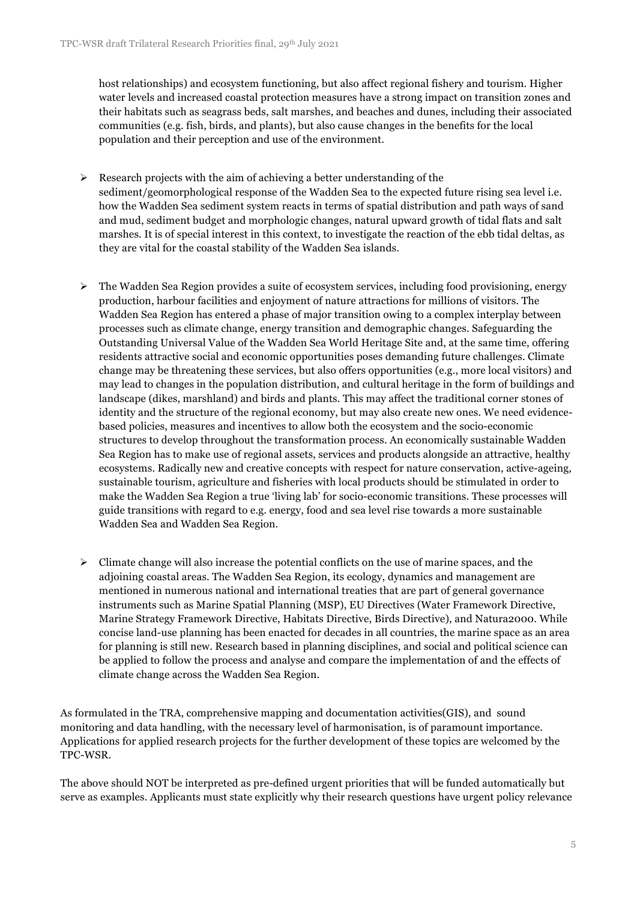host relationships) and ecosystem functioning, but also affect regional fishery and tourism. Higher water levels and increased coastal protection measures have a strong impact on transition zones and their habitats such as seagrass beds, salt marshes, and beaches and dunes, including their associated communities (e.g. fish, birds, and plants), but also cause changes in the benefits for the local population and their perception and use of the environment.

- $\triangleright$  Research projects with the aim of achieving a better understanding of the sediment/geomorphological response of the Wadden Sea to the expected future rising sea level i.e. how the Wadden Sea sediment system reacts in terms of spatial distribution and path ways of sand and mud, sediment budget and morphologic changes, natural upward growth of tidal flats and salt marshes. It is of special interest in this context, to investigate the reaction of the ebb tidal deltas, as they are vital for the coastal stability of the Wadden Sea islands.
- $\triangleright$  The Wadden Sea Region provides a suite of ecosystem services, including food provisioning, energy production, harbour facilities and enjoyment of nature attractions for millions of visitors. The Wadden Sea Region has entered a phase of major transition owing to a complex interplay between processes such as climate change, energy transition and demographic changes. Safeguarding the Outstanding Universal Value of the Wadden Sea World Heritage Site and, at the same time, offering residents attractive social and economic opportunities poses demanding future challenges. Climate change may be threatening these services, but also offers opportunities (e.g., more local visitors) and may lead to changes in the population distribution, and cultural heritage in the form of buildings and landscape (dikes, marshland) and birds and plants. This may affect the traditional corner stones of identity and the structure of the regional economy, but may also create new ones. We need evidencebased policies, measures and incentives to allow both the ecosystem and the socio-economic structures to develop throughout the transformation process. An economically sustainable Wadden Sea Region has to make use of regional assets, services and products alongside an attractive, healthy ecosystems. Radically new and creative concepts with respect for nature conservation, active-ageing, sustainable tourism, agriculture and fisheries with local products should be stimulated in order to make the Wadden Sea Region a true 'living lab' for socio-economic transitions. These processes will guide transitions with regard to e.g. energy, food and sea level rise towards a more sustainable Wadden Sea and Wadden Sea Region.
- $\triangleright$  Climate change will also increase the potential conflicts on the use of marine spaces, and the adjoining coastal areas. The Wadden Sea Region, its ecology, dynamics and management are mentioned in numerous national and international treaties that are part of general governance instruments such as Marine Spatial Planning (MSP), EU Directives (Water Framework Directive, Marine Strategy Framework Directive, Habitats Directive, Birds Directive), and Natura2000. While concise land-use planning has been enacted for decades in all countries, the marine space as an area for planning is still new. Research based in planning disciplines, and social and political science can be applied to follow the process and analyse and compare the implementation of and the effects of climate change across the Wadden Sea Region.

As formulated in the TRA, comprehensive mapping and documentation activities(GIS), and sound monitoring and data handling, with the necessary level of harmonisation, is of paramount importance. Applications for applied research projects for the further development of these topics are welcomed by the TPC-WSR.

The above should NOT be interpreted as pre-defined urgent priorities that will be funded automatically but serve as examples. Applicants must state explicitly why their research questions have urgent policy relevance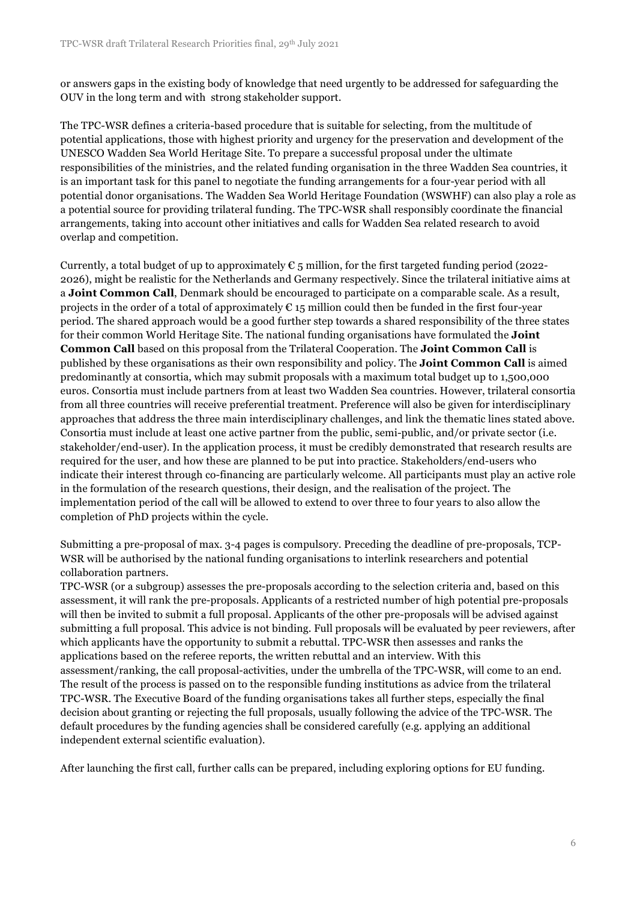or answers gaps in the existing body of knowledge that need urgently to be addressed for safeguarding the OUV in the long term and with strong stakeholder support.

The TPC-WSR defines a criteria-based procedure that is suitable for selecting, from the multitude of potential applications, those with highest priority and urgency for the preservation and development of the UNESCO Wadden Sea World Heritage Site. To prepare a successful proposal under the ultimate responsibilities of the ministries, and the related funding organisation in the three Wadden Sea countries, it is an important task for this panel to negotiate the funding arrangements for a four-year period with all potential donor organisations. The Wadden Sea World Heritage Foundation (WSWHF) can also play a role as a potential source for providing trilateral funding. The TPC-WSR shall responsibly coordinate the financial arrangements, taking into account other initiatives and calls for Wadden Sea related research to avoid overlap and competition.

Currently, a total budget of up to approximately  $\mathfrak{C}$  5 million, for the first targeted funding period (2022-2026), might be realistic for the Netherlands and Germany respectively. Since the trilateral initiative aims at a **Joint Common Call**, Denmark should be encouraged to participate on a comparable scale. As a result, projects in the order of a total of approximately  $\epsilon$  15 million could then be funded in the first four-year period. The shared approach would be a good further step towards a shared responsibility of the three states for their common World Heritage Site. The national funding organisations have formulated the **Joint Common Call** based on this proposal from the Trilateral Cooperation. The **Joint Common Call** is published by these organisations as their own responsibility and policy. The **Joint Common Call** is aimed predominantly at consortia, which may submit proposals with a maximum total budget up to 1,500,000 euros. Consortia must include partners from at least two Wadden Sea countries. However, trilateral consortia from all three countries will receive preferential treatment. Preference will also be given for interdisciplinary approaches that address the three main interdisciplinary challenges, and link the thematic lines stated above. Consortia must include at least one active partner from the public, semi-public, and/or private sector (i.e. stakeholder/end-user). In the application process, it must be credibly demonstrated that research results are required for the user, and how these are planned to be put into practice. Stakeholders/end-users who indicate their interest through co-financing are particularly welcome. All participants must play an active role in the formulation of the research questions, their design, and the realisation of the project. The implementation period of the call will be allowed to extend to over three to four years to also allow the completion of PhD projects within the cycle.

Submitting a pre-proposal of max. 3-4 pages is compulsory. Preceding the deadline of pre-proposals, TCP-WSR will be authorised by the national funding organisations to interlink researchers and potential collaboration partners.

TPC-WSR (or a subgroup) assesses the pre-proposals according to the selection criteria and, based on this assessment, it will rank the pre-proposals. Applicants of a restricted number of high potential pre-proposals will then be invited to submit a full proposal. Applicants of the other pre-proposals will be advised against submitting a full proposal. This advice is not binding. Full proposals will be evaluated by peer reviewers, after which applicants have the opportunity to submit a rebuttal. TPC-WSR then assesses and ranks the applications based on the referee reports, the written rebuttal and an interview. With this assessment/ranking, the call proposal-activities, under the umbrella of the TPC-WSR, will come to an end. The result of the process is passed on to the responsible funding institutions as advice from the trilateral TPC-WSR. The Executive Board of the funding organisations takes all further steps, especially the final decision about granting or rejecting the full proposals, usually following the advice of the TPC-WSR. The default procedures by the funding agencies shall be considered carefully (e.g. applying an additional independent external scientific evaluation).

After launching the first call, further calls can be prepared, including exploring options for EU funding.